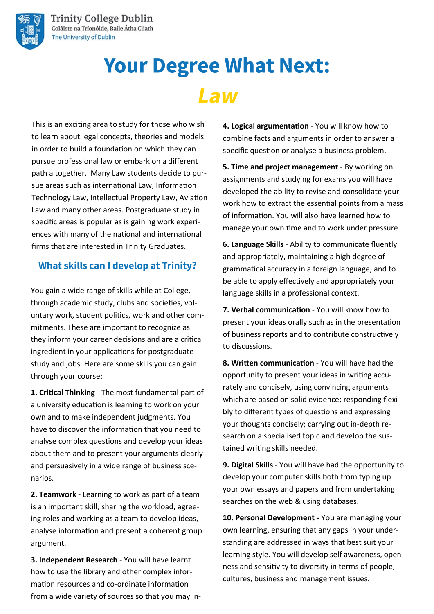

# **Your Degree What Next:** Law

This is an exciting area to study for those who wish to learn about legal concepts, theories and models in order to build a foundation on which they can pursue professional law or embark on a different path altogether. Many Law students decide to pursue areas such as international Law, Information Technology Law, Intellectual Property Law, Aviation Law and many other areas. Postgraduate study in specific areas is popular as is gaining work experiences with many of the national and international firms that are interested in Trinity Graduates.

### **What skills can I develop at Trinity?**

You gain a wide range of skills while at College, through academic study, clubs and societies, voluntary work, student politics, work and other commitments. These are important to recognize as they inform your career decisions and are a critical ingredient in your applications for postgraduate study and jobs. Here are some skills you can gain through your course:

**1. Critical Thinking** - The most fundamental part of a university education is learning to work on your own and to make independent judgments. You have to discover the information that you need to analyse complex questions and develop your ideas about them and to present your arguments clearly and persuasively in a wide range of business scenarios.

**2. Teamwork** - Learning to work as part of a team is an important skill; sharing the workload, agreeing roles and working as a team to develop ideas, analyse information and present a coherent group argument.

**3. Independent Research** - You will have learnt how to use the library and other complex information resources and co-ordinate information from a wide variety of sources so that you may in**4. Logical argumentation** - You will know how to combine facts and arguments in order to answer a specific question or analyse a business problem.

**5. Time and project management** - By working on assignments and studying for exams you will have developed the ability to revise and consolidate your work how to extract the essential points from a mass of information. You will also have learned how to manage your own time and to work under pressure.

**6. Language Skills** - Ability to communicate fluently and appropriately, maintaining a high degree of grammatical accuracy in a foreign language, and to be able to apply effectively and appropriately your language skills in a professional context.

**7. Verbal communication** - You will know how to present your ideas orally such as in the presentation of business reports and to contribute constructively to discussions.

**8. Written communication** - You will have had the opportunity to present your ideas in writing accurately and concisely, using convincing arguments which are based on solid evidence; responding flexibly to different types of questions and expressing your thoughts concisely; carrying out in-depth research on a specialised topic and develop the sustained writing skills needed.

**9. Digital Skills** - You will have had the opportunity to develop your computer skills both from typing up your own essays and papers and from undertaking searches on the web & using databases.

**10. Personal Development -** You are managing your own learning, ensuring that any gaps in your understanding are addressed in ways that best suit your learning style. You will develop self awareness, openness and sensitivity to diversity in terms of people, cultures, business and management issues.